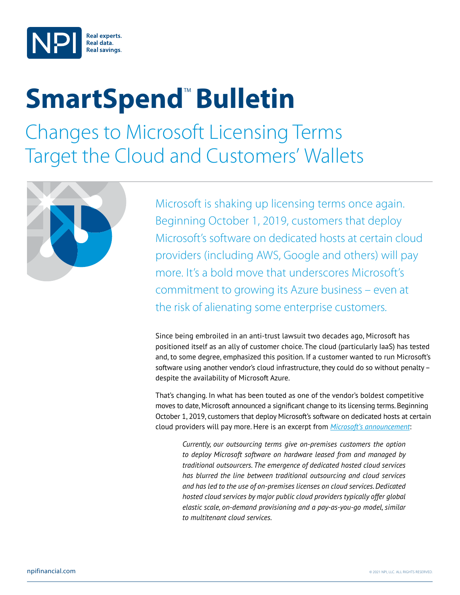

# **SmartSpend<sup>™</sup> Bulletin**

Changes to Microsoft Licensing Terms Target the Cloud and Customers' Wallets



Microsoft is shaking up licensing terms once again. Beginning October 1, 2019, customers that deploy Microsoft's software on dedicated hosts at certain cloud providers (including AWS, Google and others) will pay more. It's a bold move that underscores Microsoft's commitment to growing its Azure business – even at the risk of alienating some enterprise customers.

Since being embroiled in an anti-trust lawsuit two decades ago, Microsoft has positioned itself as an ally of customer choice. The cloud (particularly IaaS) has tested and, to some degree, emphasized this position. If a customer wanted to run Microsoft's software using another vendor's cloud infrastructure, they could do so without penalty – despite the availability of Microsoft Azure.

That's changing. In what has been touted as one of the vendor's boldest competitive moves to date, Microsoft announced a significant change to its licensing terms. Beginning October 1, 2019, customers that deploy Microsoft's software on dedicated hosts at certain cloud providers will pay more. Here is an excerpt from *[Microsoft's announcement](https://www.microsoft.com/en-us/licensing/news/updated-licensing-rights-for-dedicated-cloud)*:

*Currently, our outsourcing terms give on-premises customers the option to deploy Microsoft software on hardware leased from and managed by traditional outsourcers. The emergence of dedicated hosted cloud services has blurred the line between traditional outsourcing and cloud services and has led to the use of on-premises licenses on cloud services. Dedicated hosted cloud services by major public cloud providers typically offer global elastic scale, on-demand provisioning and a pay-as-you-go model, similar to multitenant cloud services.*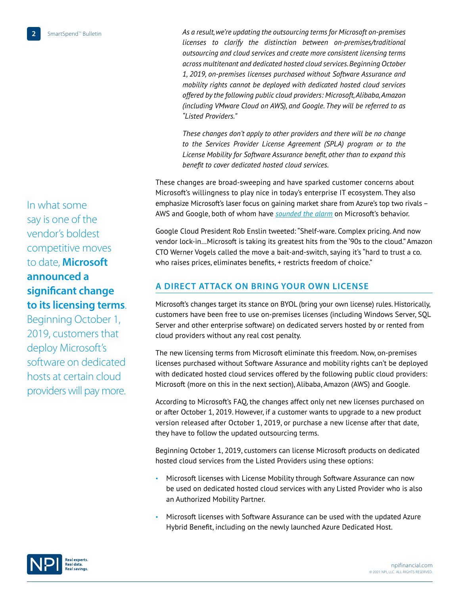*As a result, we're updating the outsourcing terms for Microsoft on-premises licenses to clarify the distinction between on-premises/traditional outsourcing and cloud services and create more consistent licensing terms across multitenant and dedicated hosted cloud services. Beginning October 1, 2019, on-premises licenses purchased without Software Assurance and mobility rights cannot be deployed with dedicated hosted cloud services offered by the following public cloud providers: Microsoft, Alibaba, Amazon (including VMware Cloud on AWS), and Google. They will be referred to as "Listed Providers."*

*These changes don't apply to other providers and there will be no change to the Services Provider License Agreement (SPLA) program or to the License Mobility for Software Assurance benefit, other than to expand this benefit to cover dedicated hosted cloud services.*

These changes are broad-sweeping and have sparked customer concerns about Microsoft's willingness to play nice in today's enterprise IT ecosystem. They also emphasize Microsoft's laser focus on gaining market share from Azure's top two rivals – AWS and Google, both of whom have *[sounded the alarm](https://www.crn.com/news/cloud/synergy-research-cloud-market-still-red-hot-despite-slight-slowdown-in-growth)* on Microsoft's behavior.

Google Cloud President Rob Enslin tweeted: "Shelf-ware. Complex pricing. And now vendor lock-in…Microsoft is taking its greatest hits from the '90s to the cloud." Amazon CTO Werner Vogels called the move a bait-and-switch, saying it's "hard to trust a co. who raises prices, eliminates benefits, + restricts freedom of choice."

## **A DIRECT ATTACK ON BRING YOUR OWN LICENSE**

Microsoft's changes target its stance on BYOL (bring your own license) rules. Historically, customers have been free to use on-premises licenses (including Windows Server, SQL Server and other enterprise software) on dedicated servers hosted by or rented from cloud providers without any real cost penalty.

The new licensing terms from Microsoft eliminate this freedom. Now, on-premises licenses purchased without Software Assurance and mobility rights can't be deployed with dedicated hosted cloud services offered by the following public cloud providers: Microsoft (more on this in the next section), Alibaba, Amazon (AWS) and Google.

According to Microsoft's FAQ, the changes affect only net new licenses purchased on or after October 1, 2019. However, if a customer wants to upgrade to a new product version released after October 1, 2019, or purchase a new license after that date, they have to follow the updated outsourcing terms.

Beginning October 1, 2019, customers can license Microsoft products on dedicated hosted cloud services from the Listed Providers using these options:

- Microsoft licenses with License Mobility through Software Assurance can now be used on dedicated hosted cloud services with any Listed Provider who is also an Authorized Mobility Partner.
- Microsoft licenses with Software Assurance can be used with the updated Azure Hybrid Benefit, including on the newly launched Azure Dedicated Host.

In what some say is one of the vendor's boldest competitive moves to date, **Microsoft announced a significant change to its licensing terms**.

Beginning October 1, 2019, customers that deploy Microsoft's software on dedicated hosts at certain cloud providers will pay more.

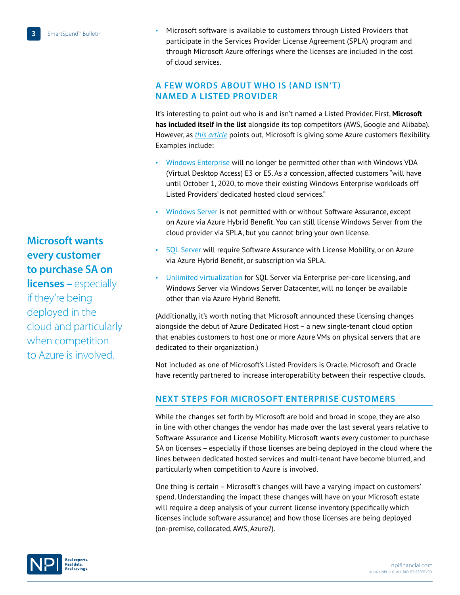• Microsoft software is available to customers through Listed Providers that participate in the Services Provider License Agreement (SPLA) program and through Microsoft Azure offerings where the licenses are included in the cost of cloud services.

### **A FEW WORDS ABOUT WHO IS (AND ISN'T) NAMED A LISTED PROVIDER**

It's interesting to point out who is and isn't named a Listed Provider. First, **Microsoft has included itself in the list** alongside its top competitors (AWS, Google and Alibaba). However, as *[this article](https://www.theregister.co.uk/2019/08/05/microsoft_licensing_windows_clouds/)* points out, Microsoft is giving some Azure customers flexibility. Examples include:

- Windows Enterprise will no longer be permitted other than with Windows VDA (Virtual Desktop Access) E3 or E5. As a concession, affected customers "will have until October 1, 2020, to move their existing Windows Enterprise workloads off Listed Providers' dedicated hosted cloud services."
- Windows Server is not permitted with or without Software Assurance, except on Azure via Azure Hybrid Benefit. You can still license Windows Server from the cloud provider via SPLA, but you cannot bring your own license.
- SQL Server will require Software Assurance with License Mobility, or on Azure via Azure Hybrid Benefit, or subscription via SPLA.
- Unlimited virtualization for SQL Server via Enterprise per-core licensing, and Windows Server via Windows Server Datacenter, will no longer be available other than via Azure Hybrid Benefit.

(Additionally, it's worth noting that Microsoft announced these licensing changes alongside the debut of Azure Dedicated Host – a new single-tenant cloud option that enables customers to host one or more Azure VMs on physical servers that are dedicated to their organization.)

Not included as one of Microsoft's Listed Providers is Oracle. Microsoft and Oracle have recently partnered to increase interoperability between their respective clouds.

## **NEXT STEPS FOR MICROSOFT ENTERPRISE CUSTOMERS**

While the changes set forth by Microsoft are bold and broad in scope, they are also in line with other changes the vendor has made over the last several years relative to Software Assurance and License Mobility. Microsoft wants every customer to purchase SA on licenses – especially if those licenses are being deployed in the cloud where the lines between dedicated hosted services and multi-tenant have become blurred, and particularly when competition to Azure is involved.

One thing is certain – Microsoft's changes will have a varying impact on customers' spend. Understanding the impact these changes will have on your Microsoft estate will require a deep analysis of your current license inventory (specifically which licenses include software assurance) and how those licenses are being deployed (on-premise, collocated, AWS, Azure?).

**Microsoft wants every customer to purchase SA on** 

**licenses – especially** if they're being deployed in the cloud and particularly when competition to Azure is involved.